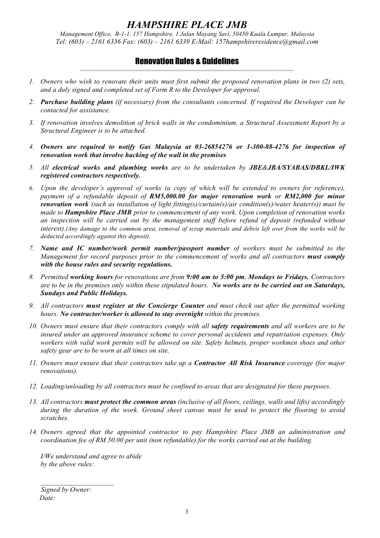## *HAMPSHIRE PLACE JMB*

*Management Office, B-1-1, 157 Hampshire, 1 Jalan Mayang Sari, 50450 Kuala Lumpur, Malaysia Tel: (603) – 2161 6336 Fax: (603) – 2161 6339 E-Mail: 157hampshireresidence@gmail.com*

## Renovation Rules & Guidelines ===================================================================================================

- *1. Owners who wish to renovate their units must first submit the proposed renovation plans in two (2) sets, and a duly signed and completed set of Form R to the Developer for approval.*
- *2. Purchase building plans (if necessary) from the consultants concerned. If required the Developer can be contacted for assistance.*
- *3. If renovation involves demolition of brick walls in the condominium, a Structural Assessment Report by a Structural Engineer is to be attached.*
- *4. Owners are required to notify Gas Malaysia at 03-26854276 or 1-300-88-4276 for inspection of renovation work that involve hacking of the wall in the premises*
- *5. All electrical works and plumbing works are to be undertaken by JBE&JBA/SYABAS/DBKL/IWK registered contractors respectively.*
- *6. Upon the developer's approval of works (a copy of which will be extended to owners for reference), payment of a refundable deposit of RM5,000.00 for major renovation work or RM2,000 for minor renovation work (such as installation of light fitting(s)/curtain(s)/air condition(s)/water heater(s)) must be made to Hampshire Place JMB prior to commencement of any work. Upon completion of renovation works an inspection will be carried out by the management staff before refund of deposit (refunded without interest).(Any damage to the common area, removal of scrap materials and debris left over from the works will be deducted accordingly against this deposit).*
- *7. Name and IC number/work permit number/passport number of workers must be submitted to the Management for record purposes prior to the commencement of works and all contractors must comply with the house rules and security regulations.*
- *8. Permitted working hours for renovations are from 9:00 am to 5:00 pm, Mondays to Fridays. Contractors are to be in the premises only within these stipulated hours. No works are to be carried out on Saturdays, Sundays and Public Holidays.*
- *9. All contractors must register at the Concierge Counter and must check out after the permitted working hours. No contractor/worker is allowed to stay overnight within the premises.*
- *10. Owners must ensure that their contractors comply with all safety requirements and all workers are to be insured under an approved insurance scheme to cover personal accidents and repatriation expenses. Only workers with valid work permits will be allowed on site. Safety helmets, proper workmen shoes and other safety gear are to be worn at all times on site.*
- *11. Owners must ensure that their contractors take up a Contractor All Risk Insurance coverage (for major renovations).*
- *12. Loading/unloading by all contractors must be confined to areas that are designated for these purposes.*
- *13. All contractors must protect the common areas (inclusive of all floors, ceilings, walls and lifts) accordingly during the duration of the work. Ground sheet canvas must be used to protect the flooring to avoid scratches.*
- *14. Owners agreed that the appointed contractor to pay Hampshire Place JMB an administration and coordination fee of RM 50.00 per unit (non refundable) for the works carried out at the building.*

*I/We understand and agree to abide by the above rules:* 

 *Signed by Owner: Date:*

 $\overline{\phantom{a}}$  , where  $\overline{\phantom{a}}$